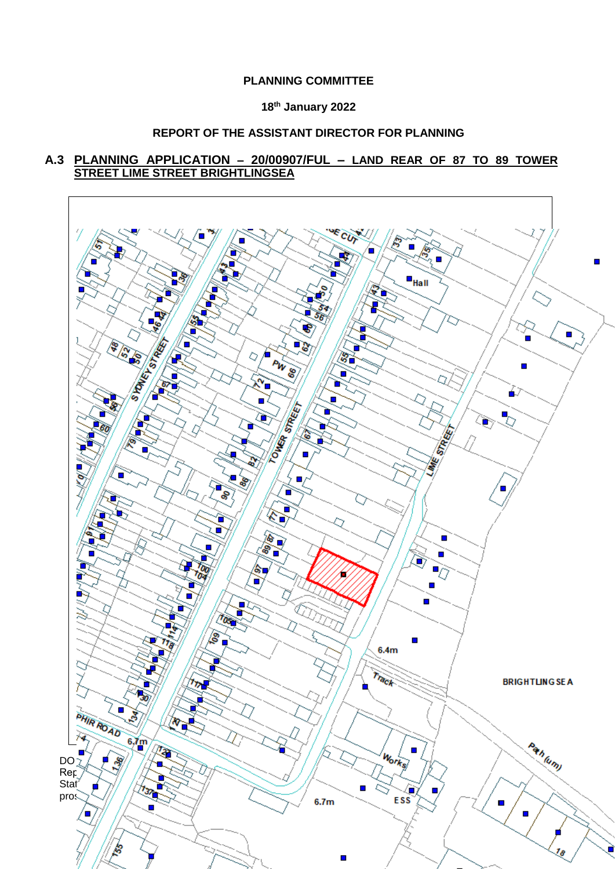#### **PLANNING COMMITTEE**

### **18th January 2022**

# **REPORT OF THE ASSISTANT DIRECTOR FOR PLANNING**

## **A.3 PLANNING APPLICATION – 20/00907/FUL – LAND REAR OF 87 TO 89 TOWER STREET LIME STREET BRIGHTLINGSEA**

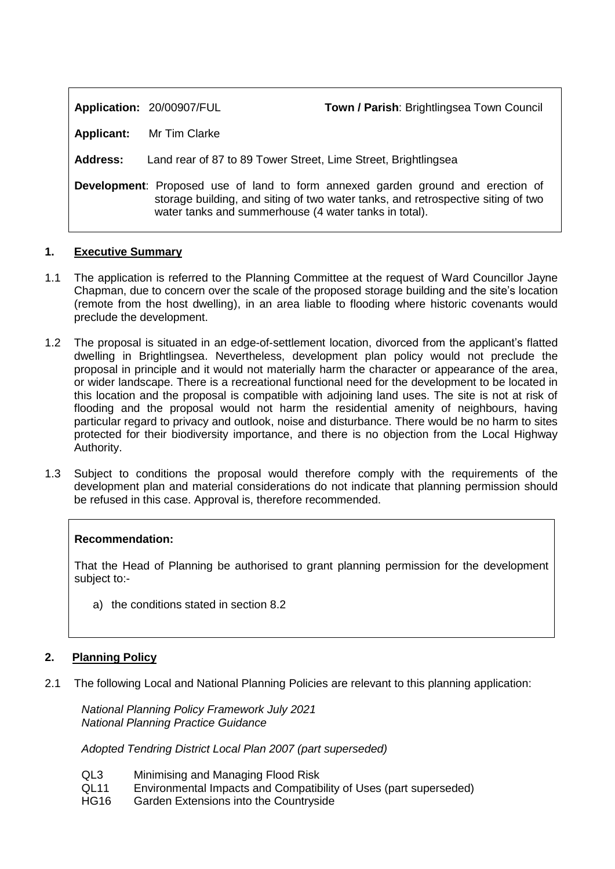|                                                                                                                                                                                                                                     | Application: 20/00907/FUL                                      | Town / Parish: Brightlingsea Town Council |
|-------------------------------------------------------------------------------------------------------------------------------------------------------------------------------------------------------------------------------------|----------------------------------------------------------------|-------------------------------------------|
| <b>Applicant:</b>                                                                                                                                                                                                                   | Mr Tim Clarke                                                  |                                           |
| <b>Address:</b>                                                                                                                                                                                                                     | Land rear of 87 to 89 Tower Street, Lime Street, Brightlingsea |                                           |
| <b>Development:</b> Proposed use of land to form annexed garden ground and erection of<br>storage building, and siting of two water tanks, and retrospective siting of two<br>water tanks and summerhouse (4 water tanks in total). |                                                                |                                           |

## **1. Executive Summary**

- 1.1 The application is referred to the Planning Committee at the request of Ward Councillor Jayne Chapman, due to concern over the scale of the proposed storage building and the site's location (remote from the host dwelling), in an area liable to flooding where historic covenants would preclude the development.
- 1.2 The proposal is situated in an edge-of-settlement location, divorced from the applicant's flatted dwelling in Brightlingsea. Nevertheless, development plan policy would not preclude the proposal in principle and it would not materially harm the character or appearance of the area, or wider landscape. There is a recreational functional need for the development to be located in this location and the proposal is compatible with adjoining land uses. The site is not at risk of flooding and the proposal would not harm the residential amenity of neighbours, having particular regard to privacy and outlook, noise and disturbance. There would be no harm to sites protected for their biodiversity importance, and there is no objection from the Local Highway Authority.
- 1.3 Subject to conditions the proposal would therefore comply with the requirements of the development plan and material considerations do not indicate that planning permission should be refused in this case. Approval is, therefore recommended.

## **Recommendation:**

That the Head of Planning be authorised to grant planning permission for the development subject to:-

a) the conditions stated in section 8.2

## **2. Planning Policy**

2.1 The following Local and National Planning Policies are relevant to this planning application:

*National Planning Policy Framework July 2021 National Planning Practice Guidance*

*Adopted Tendring District Local Plan 2007 (part superseded)*

- QL3 Minimising and Managing Flood Risk
- QL11 Environmental Impacts and Compatibility of Uses (part superseded)
- HG16 Garden Extensions into the Countryside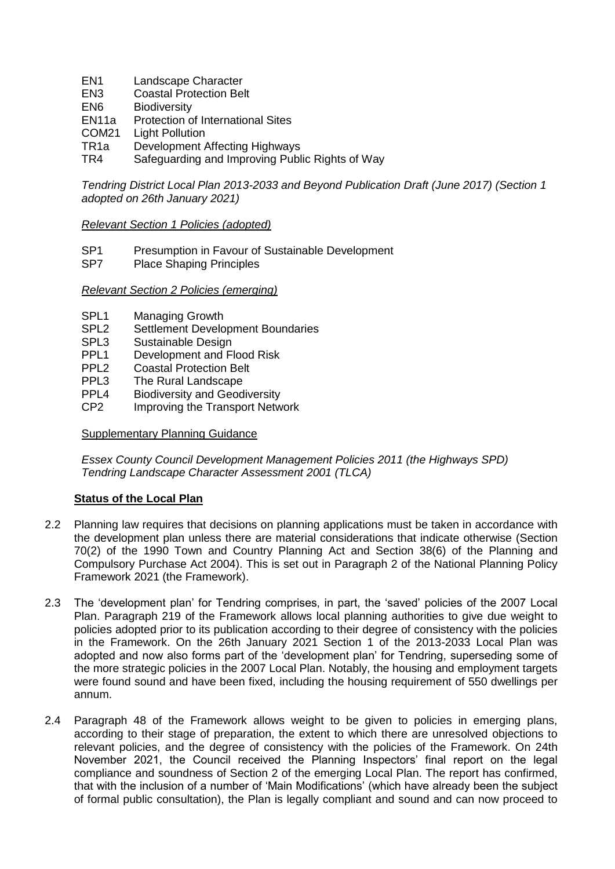- EN1 Landscape Character
- EN3 Coastal Protection Belt
- EN6 Biodiversity
- EN11a Protection of International Sites
- COM21 Light Pollution
- TR1a Development Affecting Highways
- TR4 Safeguarding and Improving Public Rights of Way

*Tendring District Local Plan 2013-2033 and Beyond Publication Draft (June 2017) (Section 1 adopted on 26th January 2021)*

## *Relevant Section 1 Policies (adopted)*

- SP1 Presumption in Favour of Sustainable Development
- SP7 Place Shaping Principles

## *Relevant Section 2 Policies (emerging)*

- SPL1 Managing Growth
- SPL2 Settlement Development Boundaries
- SPL3 Sustainable Design
- PPL1 Development and Flood Risk
- PPL2 Coastal Protection Belt
- PPL3 The Rural Landscape
- PPL4 Biodiversity and Geodiversity
- CP2 Improving the Transport Network

Supplementary Planning Guidance

*Essex County Council Development Management Policies 2011 (the Highways SPD) Tendring Landscape Character Assessment 2001 (TLCA)*

# **Status of the Local Plan**

- 2.2 Planning law requires that decisions on planning applications must be taken in accordance with the development plan unless there are material considerations that indicate otherwise (Section 70(2) of the 1990 Town and Country Planning Act and Section 38(6) of the Planning and Compulsory Purchase Act 2004). This is set out in Paragraph 2 of the National Planning Policy Framework 2021 (the Framework).
- 2.3 The 'development plan' for Tendring comprises, in part, the 'saved' policies of the 2007 Local Plan. Paragraph 219 of the Framework allows local planning authorities to give due weight to policies adopted prior to its publication according to their degree of consistency with the policies in the Framework. On the 26th January 2021 Section 1 of the 2013-2033 Local Plan was adopted and now also forms part of the 'development plan' for Tendring, superseding some of the more strategic policies in the 2007 Local Plan. Notably, the housing and employment targets were found sound and have been fixed, including the housing requirement of 550 dwellings per annum.
- 2.4 Paragraph 48 of the Framework allows weight to be given to policies in emerging plans, according to their stage of preparation, the extent to which there are unresolved objections to relevant policies, and the degree of consistency with the policies of the Framework. On 24th November 2021, the Council received the Planning Inspectors' final report on the legal compliance and soundness of Section 2 of the emerging Local Plan. The report has confirmed, that with the inclusion of a number of 'Main Modifications' (which have already been the subject of formal public consultation), the Plan is legally compliant and sound and can now proceed to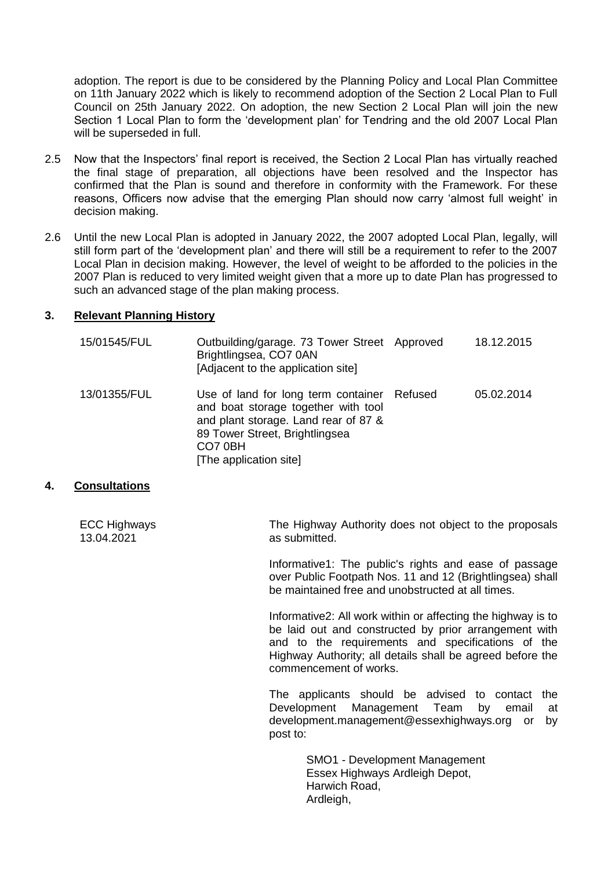adoption. The report is due to be considered by the Planning Policy and Local Plan Committee on 11th January 2022 which is likely to recommend adoption of the Section 2 Local Plan to Full Council on 25th January 2022. On adoption, the new Section 2 Local Plan will join the new Section 1 Local Plan to form the 'development plan' for Tendring and the old 2007 Local Plan will be superseded in full.

- 2.5 Now that the Inspectors' final report is received, the Section 2 Local Plan has virtually reached the final stage of preparation, all objections have been resolved and the Inspector has confirmed that the Plan is sound and therefore in conformity with the Framework. For these reasons, Officers now advise that the emerging Plan should now carry 'almost full weight' in decision making.
- 2.6 Until the new Local Plan is adopted in January 2022, the 2007 adopted Local Plan, legally, will still form part of the 'development plan' and there will still be a requirement to refer to the 2007 Local Plan in decision making. However, the level of weight to be afforded to the policies in the 2007 Plan is reduced to very limited weight given that a more up to date Plan has progressed to such an advanced stage of the plan making process.

### **3. Relevant Planning History**

| 15/01545/FUL | Outbuilding/garage. 73 Tower Street Approved<br>Brightlingsea, CO7 0AN<br>[Adjacent to the application site]                                                                                      | 18.12.2015 |
|--------------|---------------------------------------------------------------------------------------------------------------------------------------------------------------------------------------------------|------------|
| 13/01355/FUL | Use of land for long term container Refused<br>and boat storage together with tool<br>and plant storage. Land rear of 87 &<br>89 Tower Street, Brightlingsea<br>CO7 0BH<br>[The application site] | 05.02.2014 |

## **4. Consultations**

| <b>ECC Highways</b> | The Highway Authority does not object to the proposals |
|---------------------|--------------------------------------------------------|
| 13.04.2021          | as submitted.                                          |

Informative1: The public's rights and ease of passage over Public Footpath Nos. 11 and 12 (Brightlingsea) shall be maintained free and unobstructed at all times.

Informative2: All work within or affecting the highway is to be laid out and constructed by prior arrangement with and to the requirements and specifications of the Highway Authority; all details shall be agreed before the commencement of works.

The applicants should be advised to contact the Development Management Team by email at development.management@essexhighways.org or by post to:

> SMO1 - Development Management Essex Highways Ardleigh Depot, Harwich Road, Ardleigh,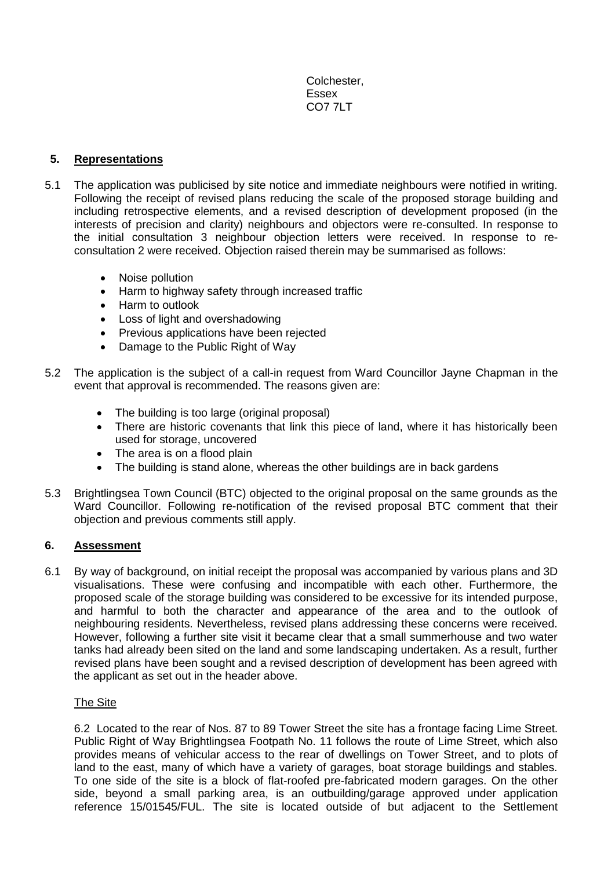Colchester, Essex CO7 7LT

### **5. Representations**

- 5.1 The application was publicised by site notice and immediate neighbours were notified in writing. Following the receipt of revised plans reducing the scale of the proposed storage building and including retrospective elements, and a revised description of development proposed (in the interests of precision and clarity) neighbours and objectors were re-consulted. In response to the initial consultation 3 neighbour objection letters were received. In response to reconsultation 2 were received. Objection raised therein may be summarised as follows:
	- Noise pollution
	- Harm to highway safety through increased traffic
	- Harm to outlook
	- Loss of light and overshadowing
	- **•** Previous applications have been rejected
	- Damage to the Public Right of Way
- 5.2 The application is the subject of a call-in request from Ward Councillor Jayne Chapman in the event that approval is recommended. The reasons given are:
	- The building is too large (original proposal)
	- There are historic covenants that link this piece of land, where it has historically been used for storage, uncovered
	- The area is on a flood plain
	- The building is stand alone, whereas the other buildings are in back gardens
- 5.3 Brightlingsea Town Council (BTC) objected to the original proposal on the same grounds as the Ward Councillor. Following re-notification of the revised proposal BTC comment that their objection and previous comments still apply.

#### **6. Assessment**

6.1 By way of background, on initial receipt the proposal was accompanied by various plans and 3D visualisations. These were confusing and incompatible with each other. Furthermore, the proposed scale of the storage building was considered to be excessive for its intended purpose, and harmful to both the character and appearance of the area and to the outlook of neighbouring residents. Nevertheless, revised plans addressing these concerns were received. However, following a further site visit it became clear that a small summerhouse and two water tanks had already been sited on the land and some landscaping undertaken. As a result, further revised plans have been sought and a revised description of development has been agreed with the applicant as set out in the header above.

#### The Site

6.2 Located to the rear of Nos. 87 to 89 Tower Street the site has a frontage facing Lime Street. Public Right of Way Brightlingsea Footpath No. 11 follows the route of Lime Street, which also provides means of vehicular access to the rear of dwellings on Tower Street, and to plots of land to the east, many of which have a variety of garages, boat storage buildings and stables. To one side of the site is a block of flat-roofed pre-fabricated modern garages. On the other side, beyond a small parking area, is an outbuilding/garage approved under application reference 15/01545/FUL. The site is located outside of but adjacent to the Settlement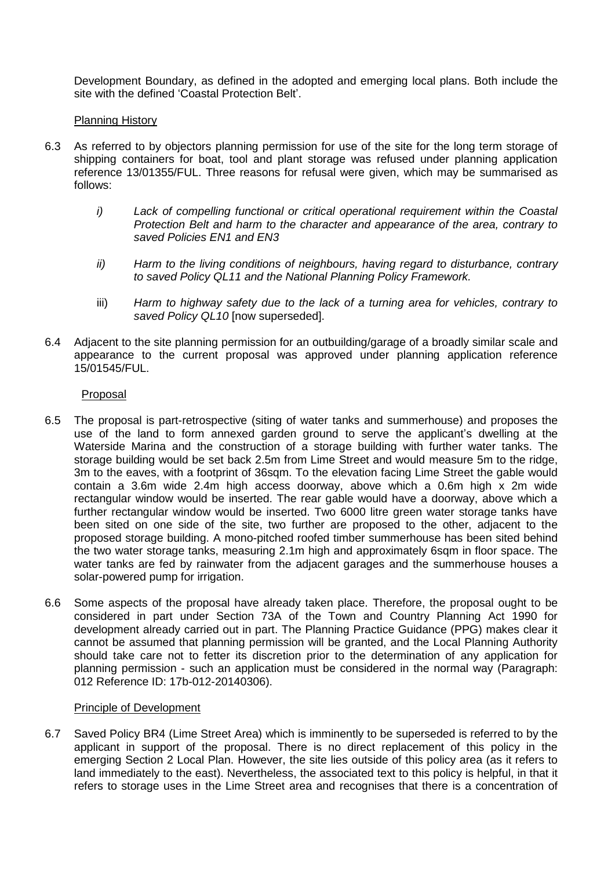Development Boundary, as defined in the adopted and emerging local plans. Both include the site with the defined 'Coastal Protection Belt'.

### Planning History

- 6.3 As referred to by objectors planning permission for use of the site for the long term storage of shipping containers for boat, tool and plant storage was refused under planning application reference 13/01355/FUL. Three reasons for refusal were given, which may be summarised as follows:
	- *i) Lack of compelling functional or critical operational requirement within the Coastal Protection Belt and harm to the character and appearance of the area, contrary to saved Policies EN1 and EN3*
	- *ii) Harm to the living conditions of neighbours, having regard to disturbance, contrary to saved Policy QL11 and the National Planning Policy Framework.*
	- iii) *Harm to highway safety due to the lack of a turning area for vehicles, contrary to saved Policy QL10* [now superseded].
- 6.4 Adjacent to the site planning permission for an outbuilding/garage of a broadly similar scale and appearance to the current proposal was approved under planning application reference 15/01545/FUL.

### Proposal

- 6.5 The proposal is part-retrospective (siting of water tanks and summerhouse) and proposes the use of the land to form annexed garden ground to serve the applicant's dwelling at the Waterside Marina and the construction of a storage building with further water tanks. The storage building would be set back 2.5m from Lime Street and would measure 5m to the ridge, 3m to the eaves, with a footprint of 36sqm. To the elevation facing Lime Street the gable would contain a 3.6m wide 2.4m high access doorway, above which a 0.6m high x 2m wide rectangular window would be inserted. The rear gable would have a doorway, above which a further rectangular window would be inserted. Two 6000 litre green water storage tanks have been sited on one side of the site, two further are proposed to the other, adjacent to the proposed storage building. A mono-pitched roofed timber summerhouse has been sited behind the two water storage tanks, measuring 2.1m high and approximately 6sqm in floor space. The water tanks are fed by rainwater from the adjacent garages and the summerhouse houses a solar-powered pump for irrigation.
- 6.6 Some aspects of the proposal have already taken place. Therefore, the proposal ought to be considered in part under Section 73A of the Town and Country Planning Act 1990 for development already carried out in part. The Planning Practice Guidance (PPG) makes clear it cannot be assumed that planning permission will be granted, and the Local Planning Authority should take care not to fetter its discretion prior to the determination of any application for planning permission - such an application must be considered in the normal way (Paragraph: 012 Reference ID: 17b-012-20140306).

#### Principle of Development

6.7 Saved Policy BR4 (Lime Street Area) which is imminently to be superseded is referred to by the applicant in support of the proposal. There is no direct replacement of this policy in the emerging Section 2 Local Plan. However, the site lies outside of this policy area (as it refers to land immediately to the east). Nevertheless, the associated text to this policy is helpful, in that it refers to storage uses in the Lime Street area and recognises that there is a concentration of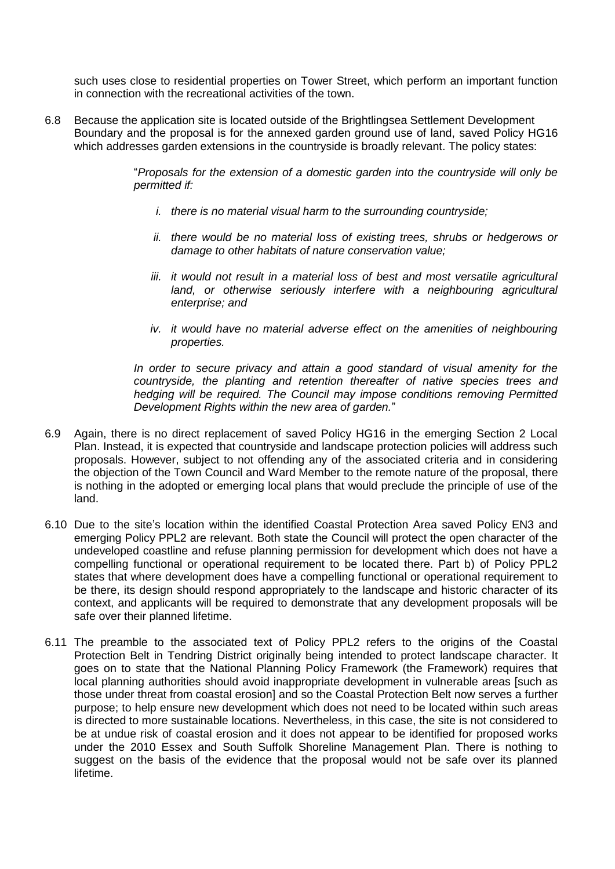such uses close to residential properties on Tower Street, which perform an important function in connection with the recreational activities of the town.

6.8 Because the application site is located outside of the Brightlingsea Settlement Development Boundary and the proposal is for the annexed garden ground use of land, saved Policy HG16 which addresses garden extensions in the countryside is broadly relevant. The policy states:

> "*Proposals for the extension of a domestic garden into the countryside will only be permitted if:*

- *i. there is no material visual harm to the surrounding countryside;*
- *ii. there would be no material loss of existing trees, shrubs or hedgerows or damage to other habitats of nature conservation value;*
- *iii. it would not result in a material loss of best and most versatile agricultural*  land, or otherwise seriously interfere with a neighbouring agricultural *enterprise; and*
- *iv. it would have no material adverse effect on the amenities of neighbouring properties.*

*In order to secure privacy and attain a good standard of visual amenity for the countryside, the planting and retention thereafter of native species trees and hedging will be required. The Council may impose conditions removing Permitted Development Rights within the new area of garden.*"

- 6.9 Again, there is no direct replacement of saved Policy HG16 in the emerging Section 2 Local Plan. Instead, it is expected that countryside and landscape protection policies will address such proposals. However, subject to not offending any of the associated criteria and in considering the objection of the Town Council and Ward Member to the remote nature of the proposal, there is nothing in the adopted or emerging local plans that would preclude the principle of use of the land.
- 6.10 Due to the site's location within the identified Coastal Protection Area saved Policy EN3 and emerging Policy PPL2 are relevant. Both state the Council will protect the open character of the undeveloped coastline and refuse planning permission for development which does not have a compelling functional or operational requirement to be located there. Part b) of Policy PPL2 states that where development does have a compelling functional or operational requirement to be there, its design should respond appropriately to the landscape and historic character of its context, and applicants will be required to demonstrate that any development proposals will be safe over their planned lifetime.
- 6.11 The preamble to the associated text of Policy PPL2 refers to the origins of the Coastal Protection Belt in Tendring District originally being intended to protect landscape character. It goes on to state that the National Planning Policy Framework (the Framework) requires that local planning authorities should avoid inappropriate development in vulnerable areas [such as those under threat from coastal erosion] and so the Coastal Protection Belt now serves a further purpose; to help ensure new development which does not need to be located within such areas is directed to more sustainable locations. Nevertheless, in this case, the site is not considered to be at undue risk of coastal erosion and it does not appear to be identified for proposed works under the 2010 Essex and South Suffolk Shoreline Management Plan. There is nothing to suggest on the basis of the evidence that the proposal would not be safe over its planned lifetime.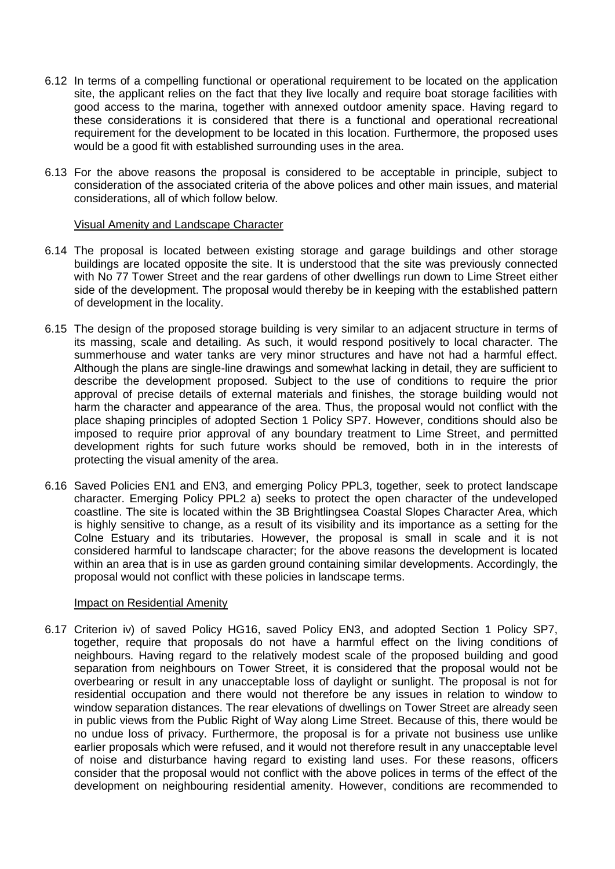- 6.12 In terms of a compelling functional or operational requirement to be located on the application site, the applicant relies on the fact that they live locally and require boat storage facilities with good access to the marina, together with annexed outdoor amenity space. Having regard to these considerations it is considered that there is a functional and operational recreational requirement for the development to be located in this location. Furthermore, the proposed uses would be a good fit with established surrounding uses in the area.
- 6.13 For the above reasons the proposal is considered to be acceptable in principle, subject to consideration of the associated criteria of the above polices and other main issues, and material considerations, all of which follow below.

#### Visual Amenity and Landscape Character

- 6.14 The proposal is located between existing storage and garage buildings and other storage buildings are located opposite the site. It is understood that the site was previously connected with No 77 Tower Street and the rear gardens of other dwellings run down to Lime Street either side of the development. The proposal would thereby be in keeping with the established pattern of development in the locality.
- 6.15 The design of the proposed storage building is very similar to an adjacent structure in terms of its massing, scale and detailing. As such, it would respond positively to local character. The summerhouse and water tanks are very minor structures and have not had a harmful effect. Although the plans are single-line drawings and somewhat lacking in detail, they are sufficient to describe the development proposed. Subject to the use of conditions to require the prior approval of precise details of external materials and finishes, the storage building would not harm the character and appearance of the area. Thus, the proposal would not conflict with the place shaping principles of adopted Section 1 Policy SP7. However, conditions should also be imposed to require prior approval of any boundary treatment to Lime Street, and permitted development rights for such future works should be removed, both in in the interests of protecting the visual amenity of the area.
- 6.16 Saved Policies EN1 and EN3, and emerging Policy PPL3, together, seek to protect landscape character. Emerging Policy PPL2 a) seeks to protect the open character of the undeveloped coastline. The site is located within the 3B Brightlingsea Coastal Slopes Character Area, which is highly sensitive to change, as a result of its visibility and its importance as a setting for the Colne Estuary and its tributaries. However, the proposal is small in scale and it is not considered harmful to landscape character; for the above reasons the development is located within an area that is in use as garden ground containing similar developments. Accordingly, the proposal would not conflict with these policies in landscape terms.

#### Impact on Residential Amenity

6.17 Criterion iv) of saved Policy HG16, saved Policy EN3, and adopted Section 1 Policy SP7, together, require that proposals do not have a harmful effect on the living conditions of neighbours. Having regard to the relatively modest scale of the proposed building and good separation from neighbours on Tower Street, it is considered that the proposal would not be overbearing or result in any unacceptable loss of daylight or sunlight. The proposal is not for residential occupation and there would not therefore be any issues in relation to window to window separation distances. The rear elevations of dwellings on Tower Street are already seen in public views from the Public Right of Way along Lime Street. Because of this, there would be no undue loss of privacy. Furthermore, the proposal is for a private not business use unlike earlier proposals which were refused, and it would not therefore result in any unacceptable level of noise and disturbance having regard to existing land uses. For these reasons, officers consider that the proposal would not conflict with the above polices in terms of the effect of the development on neighbouring residential amenity. However, conditions are recommended to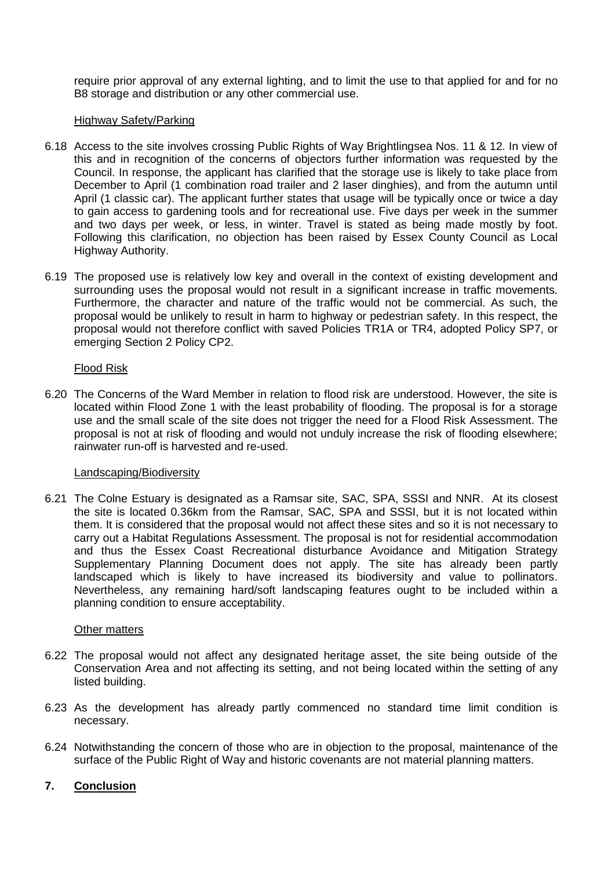require prior approval of any external lighting, and to limit the use to that applied for and for no B8 storage and distribution or any other commercial use.

### Highway Safety/Parking

- 6.18 Access to the site involves crossing Public Rights of Way Brightlingsea Nos. 11 & 12. In view of this and in recognition of the concerns of objectors further information was requested by the Council. In response, the applicant has clarified that the storage use is likely to take place from December to April (1 combination road trailer and 2 laser dinghies), and from the autumn until April (1 classic car). The applicant further states that usage will be typically once or twice a day to gain access to gardening tools and for recreational use. Five days per week in the summer and two days per week, or less, in winter. Travel is stated as being made mostly by foot. Following this clarification, no objection has been raised by Essex County Council as Local Highway Authority.
- 6.19 The proposed use is relatively low key and overall in the context of existing development and surrounding uses the proposal would not result in a significant increase in traffic movements. Furthermore, the character and nature of the traffic would not be commercial. As such, the proposal would be unlikely to result in harm to highway or pedestrian safety. In this respect, the proposal would not therefore conflict with saved Policies TR1A or TR4, adopted Policy SP7, or emerging Section 2 Policy CP2.

### Flood Risk

6.20 The Concerns of the Ward Member in relation to flood risk are understood. However, the site is located within Flood Zone 1 with the least probability of flooding. The proposal is for a storage use and the small scale of the site does not trigger the need for a Flood Risk Assessment. The proposal is not at risk of flooding and would not unduly increase the risk of flooding elsewhere; rainwater run-off is harvested and re-used.

#### Landscaping/Biodiversity

6.21 The Colne Estuary is designated as a Ramsar site, SAC, SPA, SSSI and NNR. At its closest the site is located 0.36km from the Ramsar, SAC, SPA and SSSI, but it is not located within them. It is considered that the proposal would not affect these sites and so it is not necessary to carry out a Habitat Regulations Assessment. The proposal is not for residential accommodation and thus the Essex Coast Recreational disturbance Avoidance and Mitigation Strategy Supplementary Planning Document does not apply. The site has already been partly landscaped which is likely to have increased its biodiversity and value to pollinators. Nevertheless, any remaining hard/soft landscaping features ought to be included within a planning condition to ensure acceptability.

#### Other matters

- 6.22 The proposal would not affect any designated heritage asset, the site being outside of the Conservation Area and not affecting its setting, and not being located within the setting of any listed building.
- 6.23 As the development has already partly commenced no standard time limit condition is necessary.
- 6.24 Notwithstanding the concern of those who are in objection to the proposal, maintenance of the surface of the Public Right of Way and historic covenants are not material planning matters.

## **7. Conclusion**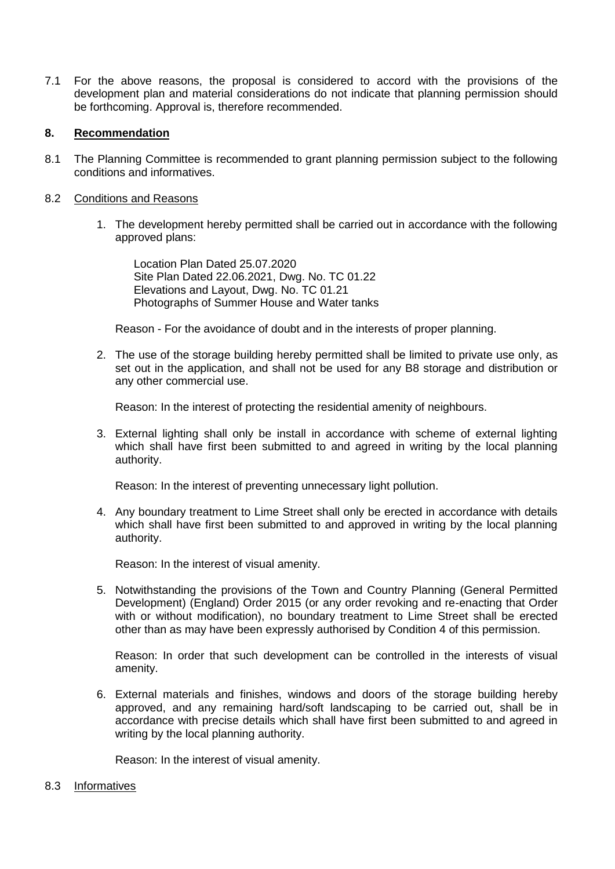7.1 For the above reasons, the proposal is considered to accord with the provisions of the development plan and material considerations do not indicate that planning permission should be forthcoming. Approval is, therefore recommended.

### **8. Recommendation**

8.1 The Planning Committee is recommended to grant planning permission subject to the following conditions and informatives.

### 8.2 Conditions and Reasons

1. The development hereby permitted shall be carried out in accordance with the following approved plans:

Location Plan Dated 25.07.2020 Site Plan Dated 22.06.2021, Dwg. No. TC 01.22 Elevations and Layout, Dwg. No. TC 01.21 Photographs of Summer House and Water tanks

Reason - For the avoidance of doubt and in the interests of proper planning.

2. The use of the storage building hereby permitted shall be limited to private use only, as set out in the application, and shall not be used for any B8 storage and distribution or any other commercial use.

Reason: In the interest of protecting the residential amenity of neighbours.

3. External lighting shall only be install in accordance with scheme of external lighting which shall have first been submitted to and agreed in writing by the local planning authority.

Reason: In the interest of preventing unnecessary light pollution.

4. Any boundary treatment to Lime Street shall only be erected in accordance with details which shall have first been submitted to and approved in writing by the local planning authority.

Reason: In the interest of visual amenity.

5. Notwithstanding the provisions of the Town and Country Planning (General Permitted Development) (England) Order 2015 (or any order revoking and re-enacting that Order with or without modification), no boundary treatment to Lime Street shall be erected other than as may have been expressly authorised by Condition 4 of this permission.

Reason: In order that such development can be controlled in the interests of visual amenity.

6. External materials and finishes, windows and doors of the storage building hereby approved, and any remaining hard/soft landscaping to be carried out, shall be in accordance with precise details which shall have first been submitted to and agreed in writing by the local planning authority.

Reason: In the interest of visual amenity.

#### 8.3 Informatives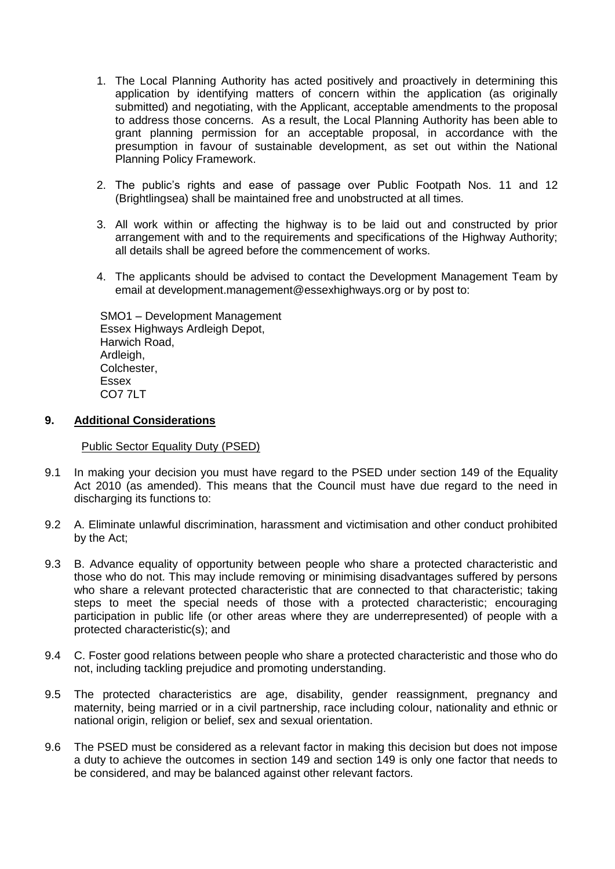- 1. The Local Planning Authority has acted positively and proactively in determining this application by identifying matters of concern within the application (as originally submitted) and negotiating, with the Applicant, acceptable amendments to the proposal to address those concerns. As a result, the Local Planning Authority has been able to grant planning permission for an acceptable proposal, in accordance with the presumption in favour of sustainable development, as set out within the National Planning Policy Framework.
- 2. The public's rights and ease of passage over Public Footpath Nos. 11 and 12 (Brightlingsea) shall be maintained free and unobstructed at all times.
- 3. All work within or affecting the highway is to be laid out and constructed by prior arrangement with and to the requirements and specifications of the Highway Authority; all details shall be agreed before the commencement of works.
- 4. The applicants should be advised to contact the Development Management Team by email at development.management@essexhighways.org or by post to:

SMO1 – Development Management Essex Highways Ardleigh Depot, Harwich Road, Ardleigh, Colchester, Essex CO7 7LT

#### **9. Additional Considerations**

Public Sector Equality Duty (PSED)

- 9.1 In making your decision you must have regard to the PSED under section 149 of the Equality Act 2010 (as amended). This means that the Council must have due regard to the need in discharging its functions to:
- 9.2 A. Eliminate unlawful discrimination, harassment and victimisation and other conduct prohibited by the Act;
- 9.3 B. Advance equality of opportunity between people who share a protected characteristic and those who do not. This may include removing or minimising disadvantages suffered by persons who share a relevant protected characteristic that are connected to that characteristic; taking steps to meet the special needs of those with a protected characteristic; encouraging participation in public life (or other areas where they are underrepresented) of people with a protected characteristic(s); and
- 9.4 C. Foster good relations between people who share a protected characteristic and those who do not, including tackling prejudice and promoting understanding.
- 9.5 The protected characteristics are age, disability, gender reassignment, pregnancy and maternity, being married or in a civil partnership, race including colour, nationality and ethnic or national origin, religion or belief, sex and sexual orientation.
- 9.6 The PSED must be considered as a relevant factor in making this decision but does not impose a duty to achieve the outcomes in section 149 and section 149 is only one factor that needs to be considered, and may be balanced against other relevant factors.